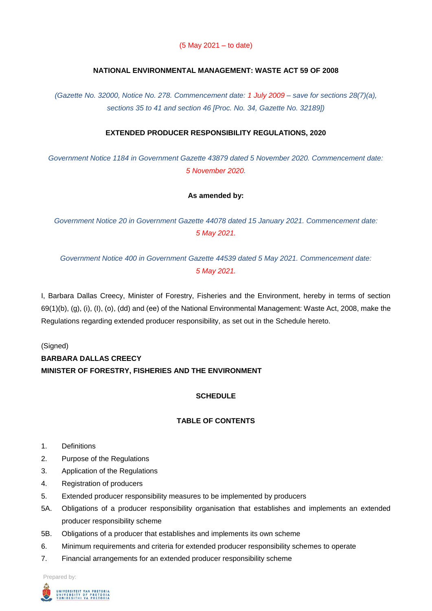## (5 May 2021 – to date)

## **NATIONAL ENVIRONMENTAL MANAGEMENT: WASTE ACT 59 OF 2008**

*(Gazette No. 32000, Notice No. 278. Commencement date: 1 July 2009 – save for sections 28(7)(a), sections 35 to 41 and section 46 [Proc. No. 34, Gazette No. 32189])*

## **EXTENDED PRODUCER RESPONSIBILITY REGULATIONS, 2020**

*Government Notice 1184 in Government Gazette 43879 dated 5 November 2020. Commencement date: 5 November 2020.*

## **As amended by:**

*Government Notice 20 in Government Gazette 44078 dated 15 January 2021. Commencement date: 5 May 2021.*

*Government Notice 400 in Government Gazette 44539 dated 5 May 2021. Commencement date: 5 May 2021.*

I, Barbara Dallas Creecy, Minister of Forestry, Fisheries and the Environment, hereby in terms of section 69(1)(b), (g), (i), (I), (o), (dd) and (ee) of the National Environmental Management: Waste Act, 2008, make the Regulations regarding extended producer responsibility, as set out in the Schedule hereto.

# (Signed) **BARBARA DALLAS CREECY MINISTER OF FORESTRY, FISHERIES AND THE ENVIRONMENT**

# **SCHEDULE**

## **TABLE OF CONTENTS**

- 1. Definitions
- 2. Purpose of the Regulations
- 3. Application of the Regulations
- 4. Registration of producers
- 5. Extended producer responsibility measures to be implemented by producers
- 5A. Obligations of a producer responsibility organisation that establishes and implements an extended producer responsibility scheme
- 5B. Obligations of a producer that establishes and implements its own scheme
- 6. Minimum requirements and criteria for extended producer responsibility schemes to operate
- 7. Financial arrangements for an extended producer responsibility scheme

Prepared by:

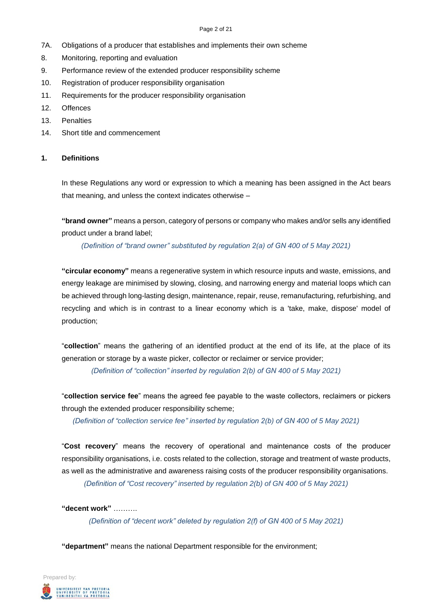#### Page 2 of 21

- 7A. Obligations of a producer that establishes and implements their own scheme
- 8. Monitoring, reporting and evaluation
- 9. Performance review of the extended producer responsibility scheme
- 10. Registration of producer responsibility organisation
- 11. Requirements for the producer responsibility organisation
- 12. Offences
- 13. Penalties
- 14. Short title and commencement

## **1. Definitions**

In these Regulations any word or expression to which a meaning has been assigned in the Act bears that meaning, and unless the context indicates otherwise –

**"brand owner"** means a person, category of persons or company who makes and/or sells any identified product under a brand label;

*(Definition of "brand owner" substituted by regulation 2(a) of GN 400 of 5 May 2021)*

**"circular economy"** means a regenerative system in which resource inputs and waste, emissions, and energy leakage are minimised by slowing, closing, and narrowing energy and material loops which can be achieved through long-lasting design, maintenance, repair, reuse, remanufacturing, refurbishing, and recycling and which is in contrast to a linear economy which is a 'take, make, dispose' model of production;

"**collection**" means the gathering of an identified product at the end of its life, at the place of its generation or storage by a waste picker, collector or reclaimer or service provider;

*(Definition of "collection" inserted by regulation 2(b) of GN 400 of 5 May 2021)*

"**collection service fee**" means the agreed fee payable to the waste collectors, reclaimers or pickers through the extended producer responsibility scheme;

*(Definition of "collection service fee" inserted by regulation 2(b) of GN 400 of 5 May 2021)*

"**Cost recovery**" means the recovery of operational and maintenance costs of the producer responsibility organisations, i.e. costs related to the collection, storage and treatment of waste products, as well as the administrative and awareness raising costs of the producer responsibility organisations.

*(Definition of "Cost recovery" inserted by regulation 2(b) of GN 400 of 5 May 2021)*

**"decent work"** ……….

*(Definition of "decent work" deleted by regulation 2(f) of GN 400 of 5 May 2021)*

**"department"** means the national Department responsible for the environment;

Prepared by: UNIVERSITEIT VAN PRETORIA<br>UNIVERSITY OF PRETORIA<br>YUNIBESITHI YA PRETORIA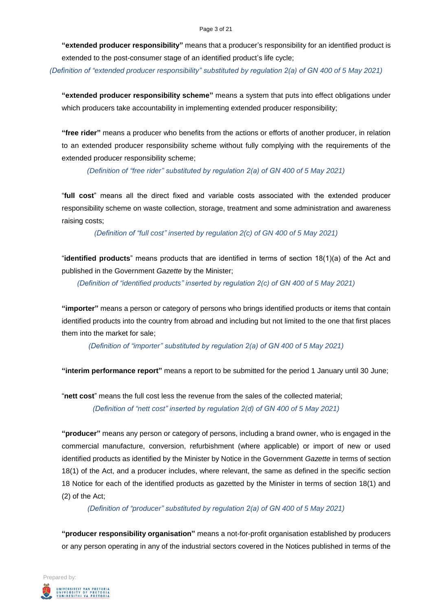#### Page 3 of 21

**"extended producer responsibility"** means that a producer's responsibility for an identified product is extended to the post-consumer stage of an identified product's life cycle;

*(Definition of "extended producer responsibility" substituted by regulation 2(a) of GN 400 of 5 May 2021)*

**"extended producer responsibility scheme"** means a system that puts into effect obligations under which producers take accountability in implementing extended producer responsibility;

**"free rider"** means a producer who benefits from the actions or efforts of another producer, in relation to an extended producer responsibility scheme without fully complying with the requirements of the extended producer responsibility scheme;

*(Definition of "free rider" substituted by regulation 2(a) of GN 400 of 5 May 2021)*

"**full cost**" means all the direct fixed and variable costs associated with the extended producer responsibility scheme on waste collection, storage, treatment and some administration and awareness raising costs;

*(Definition of "full cost" inserted by regulation 2(c) of GN 400 of 5 May 2021)*

"**identified products**" means products that are identified in terms of section 18(1)(a) of the Act and published in the Government *Gazette* by the Minister;

*(Definition of "identified products" inserted by regulation 2(c) of GN 400 of 5 May 2021)*

**"importer"** means a person or category of persons who brings identified products or items that contain identified products into the country from abroad and including but not limited to the one that first places them into the market for sale;

*(Definition of "importer" substituted by regulation 2(a) of GN 400 of 5 May 2021)*

**"interim performance report"** means a report to be submitted for the period 1 January until 30 June;

"**nett cost**" means the full cost less the revenue from the sales of the collected material; *(Definition of "nett cost" inserted by regulation 2(d) of GN 400 of 5 May 2021)*

**"producer"** means any person or category of persons, including a brand owner, who is engaged in the commercial manufacture, conversion, refurbishment (where applicable) or import of new or used identified products as identified by the Minister by Notice in the Government *Gazette* in terms of section 18(1) of the Act, and a producer includes, where relevant, the same as defined in the specific section 18 Notice for each of the identified products as gazetted by the Minister in terms of section 18(1) and (2) of the Act;

*(Definition of "producer" substituted by regulation 2(a) of GN 400 of 5 May 2021)*

**"producer responsibility organisation"** means a not-for-profit organisation established by producers or any person operating in any of the industrial sectors covered in the Notices published in terms of the

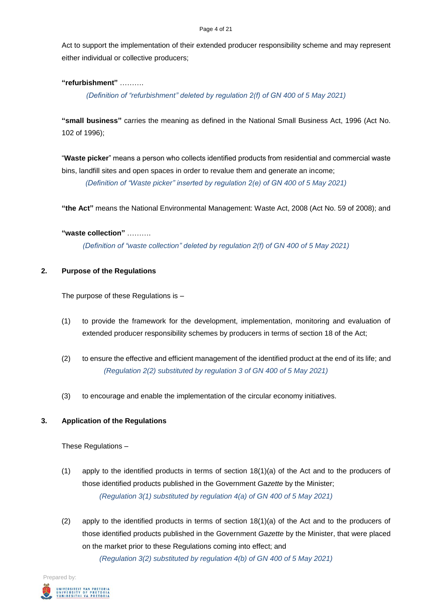#### Page 4 of 21

Act to support the implementation of their extended producer responsibility scheme and may represent either individual or collective producers;

**"refurbishment"** ……….

*(Definition of "refurbishment" deleted by regulation 2(f) of GN 400 of 5 May 2021)*

**"small business"** carries the meaning as defined in the National Small Business Act, 1996 (Act No. 102 of 1996);

"**Waste picker**" means a person who collects identified products from residential and commercial waste bins, landfill sites and open spaces in order to revalue them and generate an income;

*(Definition of "Waste picker" inserted by regulation 2(e) of GN 400 of 5 May 2021)*

**"the Act"** means the National Environmental Management: Waste Act, 2008 (Act No. 59 of 2008); and

## **"waste collection"** ……….

*(Definition of "waste collection" deleted by regulation 2(f) of GN 400 of 5 May 2021)*

# **2. Purpose of the Regulations**

The purpose of these Regulations is –

- (1) to provide the framework for the development, implementation, monitoring and evaluation of extended producer responsibility schemes by producers in terms of section 18 of the Act;
- (2) to ensure the effective and efficient management of the identified product at the end of its life; and *(Regulation 2(2) substituted by regulation 3 of GN 400 of 5 May 2021)*
- (3) to encourage and enable the implementation of the circular economy initiatives.

# **3. Application of the Regulations**

These Regulations –

- (1) apply to the identified products in terms of section 18(1)(a) of the Act and to the producers of those identified products published in the Government *Gazette* by the Minister; *(Regulation 3(1) substituted by regulation 4(a) of GN 400 of 5 May 2021)*
- (2) apply to the identified products in terms of section 18(1)(a) of the Act and to the producers of those identified products published in the Government *Gazette* by the Minister, that were placed on the market prior to these Regulations coming into effect; and

*(Regulation 3(2) substituted by regulation 4(b) of GN 400 of 5 May 2021)*

Prepared by: UNIVERSITEIT VAN PRETORI<br>UNIVERSITY OF PRETORI<br>YUNIBESITHI YA PRETORI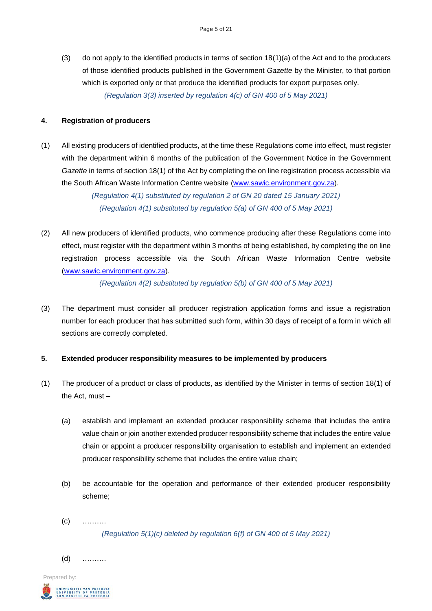(3) do not apply to the identified products in terms of section 18(1)(a) of the Act and to the producers of those identified products published in the Government *Gazette* by the Minister, to that portion which is exported only or that produce the identified products for export purposes only. *(Regulation 3(3) inserted by regulation 4(c) of GN 400 of 5 May 2021)*

#### **4. Registration of producers**

(1) All existing producers of identified products, at the time these Regulations come into effect, must register with the department within 6 months of the publication of the Government Notice in the Government *Gazette* in terms of section 18(1) of the Act by completing the on line registration process accessible via the South African Waste Information Centre website [\(www.sawic.environment.gov.za\)](http://www.sawic.environment.gov.za/).

> *(Regulation 4(1) substituted by regulation 2 of GN 20 dated 15 January 2021) (Regulation 4(1) substituted by regulation 5(a) of GN 400 of 5 May 2021)*

(2) All new producers of identified products, who commence producing after these Regulations come into effect, must register with the department within 3 months of being established, by completing the on line registration process accessible via the South African Waste Information Centre website [\(www.sawic.environment.gov.za\)](http://www.sawic.environment.gov.za/).

*(Regulation 4(2) substituted by regulation 5(b) of GN 400 of 5 May 2021)*

(3) The department must consider all producer registration application forms and issue a registration number for each producer that has submitted such form, within 30 days of receipt of a form in which all sections are correctly completed.

#### **5. Extended producer responsibility measures to be implemented by producers**

- (1) The producer of a product or class of products, as identified by the Minister in terms of section 18(1) of the Act, must –
	- (a) establish and implement an extended producer responsibility scheme that includes the entire value chain or join another extended producer responsibility scheme that includes the entire value chain or appoint a producer responsibility organisation to establish and implement an extended producer responsibility scheme that includes the entire value chain;
	- (b) be accountable for the operation and performance of their extended producer responsibility scheme;
	- $(c)$  ………

*(Regulation 5(1)(c) deleted by regulation 6(f) of GN 400 of 5 May 2021)*

(d) ……….

Prepared by: .<br>UNIVERSITEIT VAN PRETORIA<br>YUNIBESITHI YA PRETORIA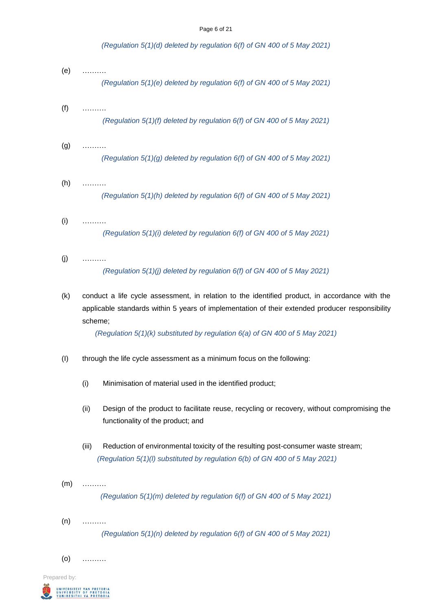#### Page 6 of 21

*(Regulation 5(1)(d) deleted by regulation 6(f) of GN 400 of 5 May 2021)*

- (e) ………. *(Regulation 5(1)(e) deleted by regulation 6(f) of GN 400 of 5 May 2021)* (f) ………. *(Regulation 5(1)(f) deleted by regulation 6(f) of GN 400 of 5 May 2021)* (g) ………. *(Regulation 5(1)(g) deleted by regulation 6(f) of GN 400 of 5 May 2021)* (h) ………. *(Regulation 5(1)(h) deleted by regulation 6(f) of GN 400 of 5 May 2021)* (i) ………. *(Regulation 5(1)(i) deleted by regulation 6(f) of GN 400 of 5 May 2021)* (j) ………. *(Regulation 5(1)(j) deleted by regulation 6(f) of GN 400 of 5 May 2021)* (k) conduct a life cycle assessment, in relation to the identified product, in accordance with the applicable standards within 5 years of implementation of their extended producer responsibility scheme; *(Regulation 5(1)(k) substituted by regulation 6(a) of GN 400 of 5 May 2021)*
- (I) through the life cycle assessment as a minimum focus on the following:
	- (i) Minimisation of material used in the identified product;
	- (ii) Design of the product to facilitate reuse, recycling or recovery, without compromising the functionality of the product; and
	- (iii) Reduction of environmental toxicity of the resulting post-consumer waste stream; *(Regulation 5(1)(l) substituted by regulation 6(b) of GN 400 of 5 May 2021)*
- (m) ………. *(Regulation 5(1)(m) deleted by regulation 6(f) of GN 400 of 5 May 2021)*
- $(n)$  ……… *(Regulation 5(1)(n) deleted by regulation 6(f) of GN 400 of 5 May 2021)*

(o) ……….

Prepared by:

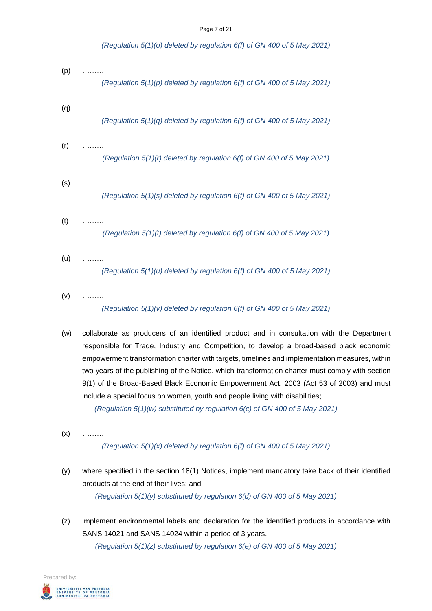#### Page 7 of 21

*(Regulation 5(1)(o) deleted by regulation 6(f) of GN 400 of 5 May 2021)*

- (p) ………. *(Regulation 5(1)(p) deleted by regulation 6(f) of GN 400 of 5 May 2021)* (q) ………. *(Regulation 5(1)(q) deleted by regulation 6(f) of GN 400 of 5 May 2021)*  $(r)$  ……… *(Regulation 5(1)(r) deleted by regulation 6(f) of GN 400 of 5 May 2021)* (s) ………. *(Regulation 5(1)(s) deleted by regulation 6(f) of GN 400 of 5 May 2021)*  $(t)$  ……… *(Regulation 5(1)(t) deleted by regulation 6(f) of GN 400 of 5 May 2021)* (u) ………. *(Regulation 5(1)(u) deleted by regulation 6(f) of GN 400 of 5 May 2021)*
- (v) ………. *(Regulation 5(1)(v) deleted by regulation 6(f) of GN 400 of 5 May 2021)*
- (w) collaborate as producers of an identified product and in consultation with the Department responsible for Trade, Industry and Competition, to develop a broad-based black economic empowerment transformation charter with targets, timelines and implementation measures, within two years of the publishing of the Notice, which transformation charter must comply with section 9(1) of the Broad-Based Black Economic Empowerment Act, 2003 (Act 53 of 2003) and must include a special focus on women, youth and people living with disabilities; *(Regulation 5(1)(w) substituted by regulation 6(c) of GN 400 of 5 May 2021)*
- $(x)$  ……… *(Regulation 5(1)(x) deleted by regulation 6(f) of GN 400 of 5 May 2021)*
- (y) where specified in the section 18(1) Notices, implement mandatory take back of their identified products at the end of their lives; and *(Regulation 5(1)(y) substituted by regulation 6(d) of GN 400 of 5 May 2021)*
- (z) implement environmental labels and declaration for the identified products in accordance with SANS 14021 and SANS 14024 within a period of 3 years. *(Regulation 5(1)(z) substituted by regulation 6(e) of GN 400 of 5 May 2021)*

Prepared by: UNIVERSITEIT VAN PRETORI.<br>UNIVERSITY OF PRETORI.<br>YUNIBESITHI YA PRETORI.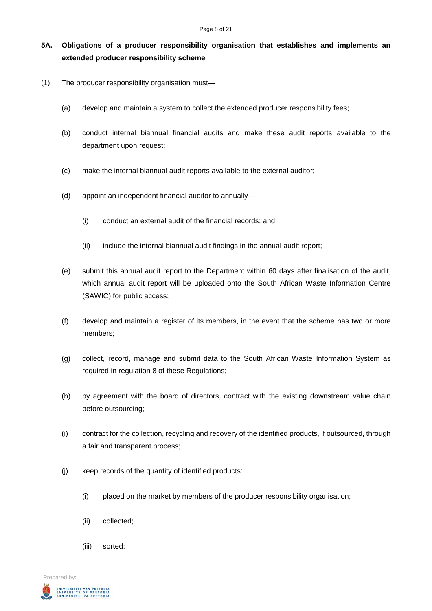# **5A. Obligations of a producer responsibility organisation that establishes and implements an extended producer responsibility scheme**

- (1) The producer responsibility organisation must—
	- (a) develop and maintain a system to collect the extended producer responsibility fees;
	- (b) conduct internal biannual financial audits and make these audit reports available to the department upon request;
	- (c) make the internal biannual audit reports available to the external auditor;
	- (d) appoint an independent financial auditor to annually—
		- (i) conduct an external audit of the financial records; and
		- (ii) include the internal biannual audit findings in the annual audit report;
	- (e) submit this annual audit report to the Department within 60 days after finalisation of the audit, which annual audit report will be uploaded onto the South African Waste Information Centre (SAWIC) for public access;
	- (f) develop and maintain a register of its members, in the event that the scheme has two or more members;
	- (g) collect, record, manage and submit data to the South African Waste Information System as required in regulation 8 of these Regulations;
	- (h) by agreement with the board of directors, contract with the existing downstream value chain before outsourcing;
	- (i) contract for the collection, recycling and recovery of the identified products, if outsourced, through a fair and transparent process;
	- (j) keep records of the quantity of identified products:
		- (i) placed on the market by members of the producer responsibility organisation;
		- (ii) collected;
		- (iii) sorted;

Prepared by: UNIVERSITEIT VAN PRETORIA<br>UNIVERSITY OF PRETORIA<br>YUNIBESITHI YA PRETORIA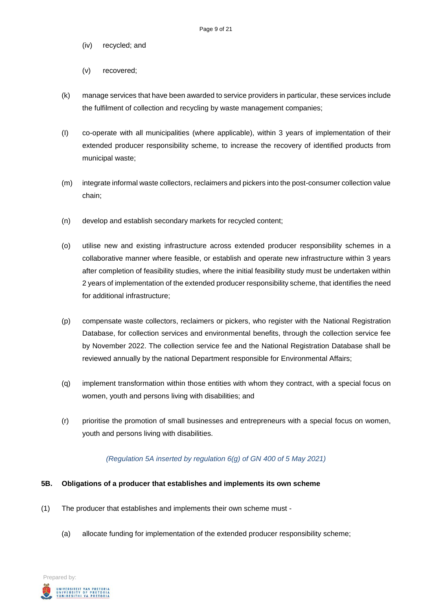- (iv) recycled; and
- (v) recovered;
- (k) manage services that have been awarded to service providers in particular, these services include the fulfilment of collection and recycling by waste management companies;
- (I) co-operate with all municipalities (where applicable), within 3 years of implementation of their extended producer responsibility scheme, to increase the recovery of identified products from municipal waste;
- (m) integrate informal waste collectors, reclaimers and pickers into the post-consumer collection value chain;
- (n) develop and establish secondary markets for recycled content;
- (o) utilise new and existing infrastructure across extended producer responsibility schemes in a collaborative manner where feasible, or establish and operate new infrastructure within 3 years after completion of feasibility studies, where the initial feasibility study must be undertaken within 2 years of implementation of the extended producer responsibility scheme, that identifies the need for additional infrastructure;
- (p) compensate waste collectors, reclaimers or pickers, who register with the National Registration Database, for collection services and environmental benefits, through the collection service fee by November 2022. The collection service fee and the National Registration Database shall be reviewed annually by the national Department responsible for Environmental Affairs;
- (q) implement transformation within those entities with whom they contract, with a special focus on women, youth and persons living with disabilities; and
- (r) prioritise the promotion of small businesses and entrepreneurs with a special focus on women, youth and persons living with disabilities.

# *(Regulation 5A inserted by regulation 6(g) of GN 400 of 5 May 2021)*

## **5B. Obligations of a producer that establishes and implements its own scheme**

- (1) The producer that establishes and implements their own scheme must
	- (a) allocate funding for implementation of the extended producer responsibility scheme;

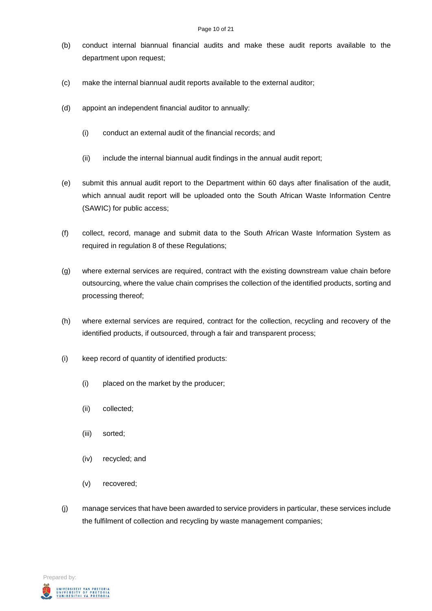- (b) conduct internal biannual financial audits and make these audit reports available to the department upon request;
- (c) make the internal biannual audit reports available to the external auditor;
- (d) appoint an independent financial auditor to annually:
	- (i) conduct an external audit of the financial records; and
	- (ii) include the internal biannual audit findings in the annual audit report;
- (e) submit this annual audit report to the Department within 60 days after finalisation of the audit, which annual audit report will be uploaded onto the South African Waste Information Centre (SAWIC) for public access;
- (f) collect, record, manage and submit data to the South African Waste Information System as required in regulation 8 of these Regulations;
- (g) where external services are required, contract with the existing downstream value chain before outsourcing, where the value chain comprises the collection of the identified products, sorting and processing thereof;
- (h) where external services are required, contract for the collection, recycling and recovery of the identified products, if outsourced, through a fair and transparent process;
- (i) keep record of quantity of identified products:
	- (i) placed on the market by the producer;
	- (ii) collected;
	- (iii) sorted;
	- (iv) recycled; and
	- (v) recovered;
- (j) manage services that have been awarded to service providers in particular, these services include the fulfilment of collection and recycling by waste management companies;

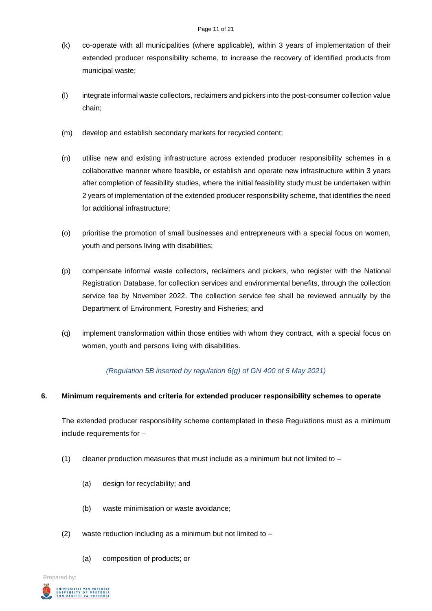- (k) co-operate with all municipalities (where applicable), within 3 years of implementation of their extended producer responsibility scheme, to increase the recovery of identified products from municipal waste;
- (l) integrate informal waste collectors, reclaimers and pickers into the post-consumer collection value chain;
- (m) develop and establish secondary markets for recycled content;
- (n) utilise new and existing infrastructure across extended producer responsibility schemes in a collaborative manner where feasible, or establish and operate new infrastructure within 3 years after completion of feasibility studies, where the initial feasibility study must be undertaken within 2 years of implementation of the extended producer responsibility scheme, that identifies the need for additional infrastructure;
- (o) prioritise the promotion of small businesses and entrepreneurs with a special focus on women, youth and persons living with disabilities;
- (p) compensate informal waste collectors, reclaimers and pickers, who register with the National Registration Database, for collection services and environmental benefits, through the collection service fee by November 2022. The collection service fee shall be reviewed annually by the Department of Environment, Forestry and Fisheries; and
- (q) implement transformation within those entities with whom they contract, with a special focus on women, youth and persons living with disabilities.

# *(Regulation 5B inserted by regulation 6(g) of GN 400 of 5 May 2021)*

## **6. Minimum requirements and criteria for extended producer responsibility schemes to operate**

The extended producer responsibility scheme contemplated in these Regulations must as a minimum include requirements for –

- (1) cleaner production measures that must include as a minimum but not limited to  $-$ 
	- (a) design for recyclability; and
	- (b) waste minimisation or waste avoidance;
- (2) waste reduction including as a minimum but not limited to  $-$ 
	- (a) composition of products; or

Prepared by: UNIVERSITEIT VAN PRETOR<br>UNIVERSITY OF PRETOR<br>YUNIBESITHI YA PRETOR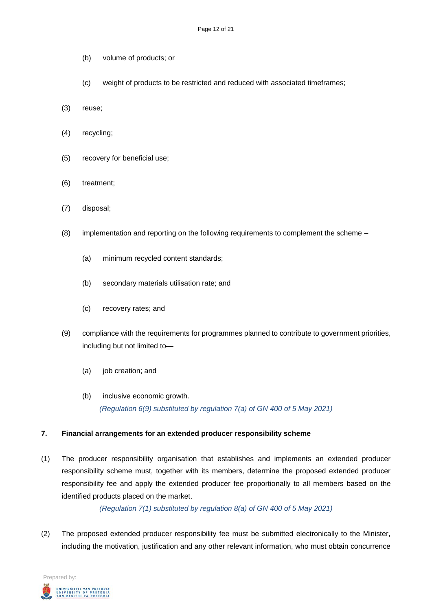- (b) volume of products; or
- (c) weight of products to be restricted and reduced with associated timeframes;
- (3) reuse;
- (4) recycling;
- (5) recovery for beneficial use;
- (6) treatment;
- (7) disposal;
- (8) implementation and reporting on the following requirements to complement the scheme
	- (a) minimum recycled content standards;
	- (b) secondary materials utilisation rate; and
	- (c) recovery rates; and
- (9) compliance with the requirements for programmes planned to contribute to government priorities, including but not limited to—
	- (a) iob creation; and
	- (b) inclusive economic growth. *(Regulation 6(9) substituted by regulation 7(a) of GN 400 of 5 May 2021)*

## **7. Financial arrangements for an extended producer responsibility scheme**

(1) The producer responsibility organisation that establishes and implements an extended producer responsibility scheme must, together with its members, determine the proposed extended producer responsibility fee and apply the extended producer fee proportionally to all members based on the identified products placed on the market.

*(Regulation 7(1) substituted by regulation 8(a) of GN 400 of 5 May 2021)*

(2) The proposed extended producer responsibility fee must be submitted electronically to the Minister, including the motivation, justification and any other relevant information, who must obtain concurrence

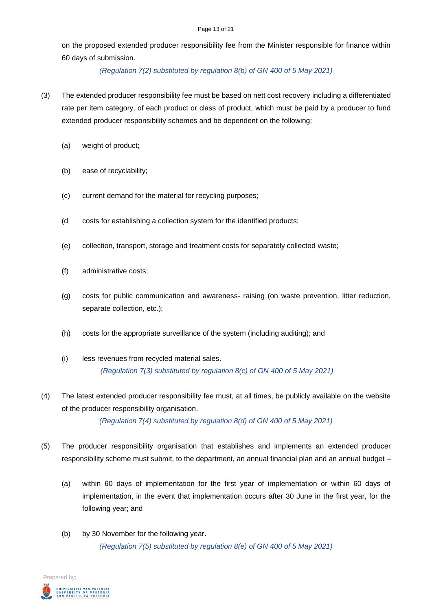#### Page 13 of 21

on the proposed extended producer responsibility fee from the Minister responsible for finance within 60 days of submission.

## *(Regulation 7(2) substituted by regulation 8(b) of GN 400 of 5 May 2021)*

- (3) The extended producer responsibility fee must be based on nett cost recovery including a differentiated rate per item category, of each product or class of product, which must be paid by a producer to fund extended producer responsibility schemes and be dependent on the following:
	- (a) weight of product;
	- (b) ease of recyclability;
	- (c) current demand for the material for recycling purposes;
	- (d costs for establishing a collection system for the identified products;
	- (e) collection, transport, storage and treatment costs for separately collected waste;
	- (f) administrative costs;
	- (g) costs for public communication and awareness- raising (on waste prevention, litter reduction, separate collection, etc.);
	- (h) costs for the appropriate surveillance of the system (including auditing); and
	- (i) less revenues from recycled material sales. *(Regulation 7(3) substituted by regulation 8(c) of GN 400 of 5 May 2021)*
- (4) The latest extended producer responsibility fee must, at all times, be publicly available on the website of the producer responsibility organisation.

*(Regulation 7(4) substituted by regulation 8(d) of GN 400 of 5 May 2021)*

- (5) The producer responsibility organisation that establishes and implements an extended producer responsibility scheme must submit, to the department, an annual financial plan and an annual budget –
	- (a) within 60 days of implementation for the first year of implementation or within 60 days of implementation, in the event that implementation occurs after 30 June in the first year, for the following year; and
	- (b) by 30 November for the following year. *(Regulation 7(5) substituted by regulation 8(e) of GN 400 of 5 May 2021)*

Prepared by: .<br>UNIVERSITEIT VAN PRETORI<br>YUNIBESITHI YA PRETORI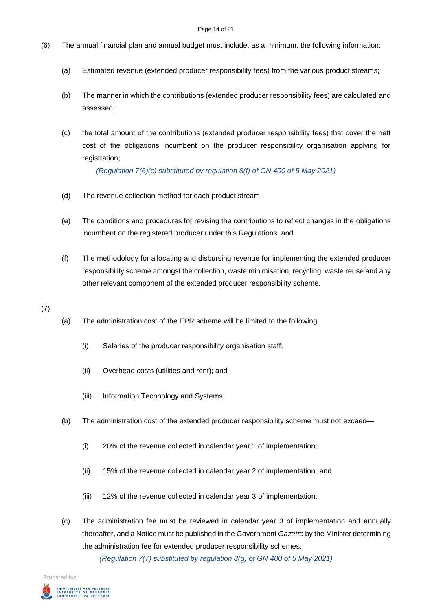- (6) The annual financial plan and annual budget must include, as a minimum, the following information:
	- (a) Estimated revenue (extended producer responsibility fees) from the various product streams;
	- (b) The manner in which the contributions (extended producer responsibility fees) are calculated and assessed;
	- (c) the total amount of the contributions (extended producer responsibility fees) that cover the nett cost of the obligations incumbent on the producer responsibility organisation applying for registration;

*(Regulation 7(6)(c) substituted by regulation 8(f) of GN 400 of 5 May 2021)*

- (d) The revenue collection method for each product stream;
- (e) The conditions and procedures for revising the contributions to reflect changes in the obligations incumbent on the registered producer under this Regulations; and
- (f) The methodology for allocating and disbursing revenue for implementing the extended producer responsibility scheme amongst the collection, waste minimisation, recycling, waste reuse and any other relevant component of the extended producer responsibility scheme.
- (7)
- (a) The administration cost of the EPR scheme will be limited to the following:
	- (i) Salaries of the producer responsibility organisation staff;
	- (ii) Overhead costs (utilities and rent); and
	- (iii) Information Technology and Systems.
- (b) The administration cost of the extended producer responsibility scheme must not exceed—
	- (i) 20% of the revenue collected in calendar year 1 of implementation;
	- (ii) 15% of the revenue collected in calendar year 2 of implementation; and
	- (iii) 12% of the revenue collected in calendar year 3 of implementation.
- (c) The administration fee must be reviewed in calendar year 3 of implementation and annually thereafter, and a Notice must be published in the Government *Gazette* by the Minister determining the administration fee for extended producer responsibility schemes.

*(Regulation 7(7) substituted by regulation 8(g) of GN 400 of 5 May 2021)*

Prepared by: UNIVERSITEIT VAN PRETOR<br>UNIVERSITY OF PRETOR<br>YUNIBESITHI YA PRETOR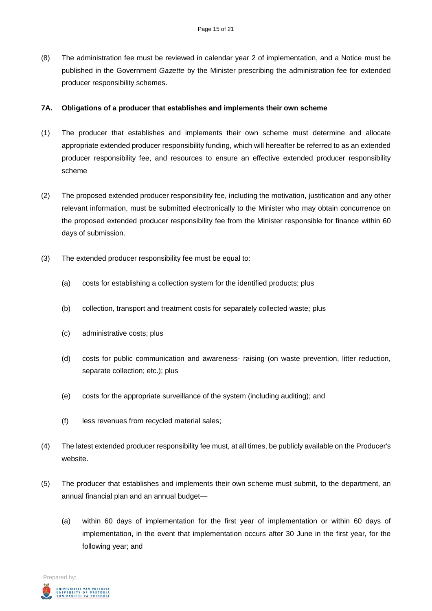(8) The administration fee must be reviewed in calendar year 2 of implementation, and a Notice must be published in the Government *Gazette* by the Minister prescribing the administration fee for extended producer responsibility schemes.

## **7A. Obligations of a producer that establishes and implements their own scheme**

- (1) The producer that establishes and implements their own scheme must determine and allocate appropriate extended producer responsibility funding, which will hereafter be referred to as an extended producer responsibility fee, and resources to ensure an effective extended producer responsibility scheme
- (2) The proposed extended producer responsibility fee, including the motivation, justification and any other relevant information, must be submitted electronically to the Minister who may obtain concurrence on the proposed extended producer responsibility fee from the Minister responsible for finance within 60 days of submission.
- (3) The extended producer responsibility fee must be equal to:
	- (a) costs for establishing a collection system for the identified products; plus
	- (b) collection, transport and treatment costs for separately collected waste; plus
	- (c) administrative costs; plus
	- (d) costs for public communication and awareness- raising (on waste prevention, litter reduction, separate collection; etc.); plus
	- (e) costs for the appropriate surveillance of the system (including auditing); and
	- (f) less revenues from recycled material sales;
- (4) The latest extended producer responsibility fee must, at all times, be publicly available on the Producer's website.
- (5) The producer that establishes and implements their own scheme must submit, to the department, an annual financial plan and an annual budget—
	- (a) within 60 days of implementation for the first year of implementation or within 60 days of implementation, in the event that implementation occurs after 30 June in the first year, for the following year; and

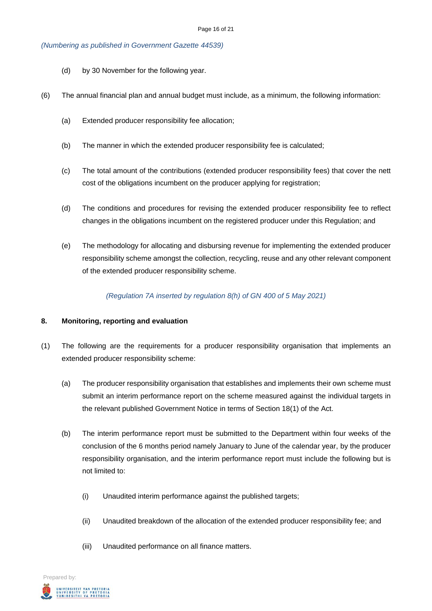#### *(Numbering as published in Government Gazette 44539)*

- (d) by 30 November for the following year.
- (6) The annual financial plan and annual budget must include, as a minimum, the following information:
	- (a) Extended producer responsibility fee allocation;
	- (b) The manner in which the extended producer responsibility fee is calculated;
	- (c) The total amount of the contributions (extended producer responsibility fees) that cover the nett cost of the obligations incumbent on the producer applying for registration;
	- (d) The conditions and procedures for revising the extended producer responsibility fee to reflect changes in the obligations incumbent on the registered producer under this Regulation; and
	- (e) The methodology for allocating and disbursing revenue for implementing the extended producer responsibility scheme amongst the collection, recycling, reuse and any other relevant component of the extended producer responsibility scheme.

## *(Regulation 7A inserted by regulation 8(h) of GN 400 of 5 May 2021)*

## **8. Monitoring, reporting and evaluation**

- (1) The following are the requirements for a producer responsibility organisation that implements an extended producer responsibility scheme:
	- (a) The producer responsibility organisation that establishes and implements their own scheme must submit an interim performance report on the scheme measured against the individual targets in the relevant published Government Notice in terms of Section 18(1) of the Act.
	- (b) The interim performance report must be submitted to the Department within four weeks of the conclusion of the 6 months period namely January to June of the calendar year, by the producer responsibility organisation, and the interim performance report must include the following but is not limited to:
		- (i) Unaudited interim performance against the published targets;
		- (ii) Unaudited breakdown of the allocation of the extended producer responsibility fee; and
		- (iii) Unaudited performance on all finance matters.

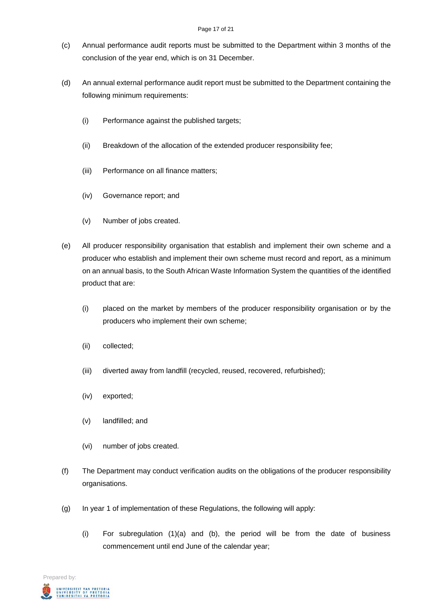#### Page 17 of 21

- (c) Annual performance audit reports must be submitted to the Department within 3 months of the conclusion of the year end, which is on 31 December.
- (d) An annual external performance audit report must be submitted to the Department containing the following minimum requirements:
	- (i) Performance against the published targets;
	- (ii) Breakdown of the allocation of the extended producer responsibility fee;
	- (iii) Performance on all finance matters;
	- (iv) Governance report; and
	- (v) Number of jobs created.
- (e) All producer responsibility organisation that establish and implement their own scheme and a producer who establish and implement their own scheme must record and report, as a minimum on an annual basis, to the South African Waste Information System the quantities of the identified product that are:
	- (i) placed on the market by members of the producer responsibility organisation or by the producers who implement their own scheme;
	- (ii) collected;
	- (iii) diverted away from landfill (recycled, reused, recovered, refurbished);
	- (iv) exported;
	- (v) landfilled; and
	- (vi) number of jobs created.
- (f) The Department may conduct verification audits on the obligations of the producer responsibility organisations.
- (g) In year 1 of implementation of these Regulations, the following will apply:
	- (i) For subregulation (1)(a) and (b), the period will be from the date of business commencement until end June of the calendar year;

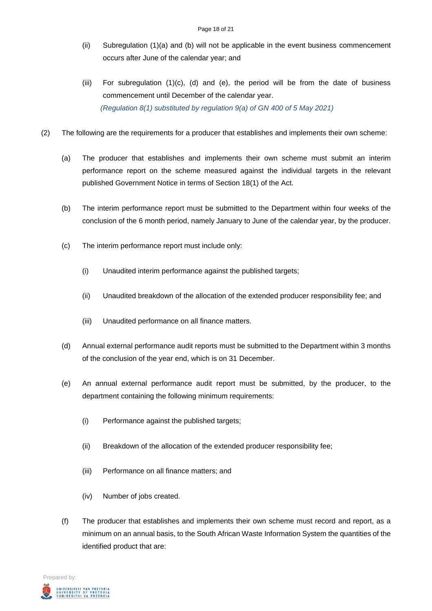- (ii) Subregulation (1)(a) and (b) will not be applicable in the event business commencement occurs after June of the calendar year; and
- (iii) For subregulation  $(1)(c)$ ,  $(d)$  and  $(e)$ , the period will be from the date of business commencement until December of the calendar year. *(Regulation 8(1) substituted by regulation 9(a) of GN 400 of 5 May 2021)*
- (2) The following are the requirements for a producer that establishes and implements their own scheme:
	- (a) The producer that establishes and implements their own scheme must submit an interim performance report on the scheme measured against the individual targets in the relevant published Government Notice in terms of Section 18(1) of the Act.
	- (b) The interim performance report must be submitted to the Department within four weeks of the conclusion of the 6 month period, namely January to June of the calendar year, by the producer.
	- (c) The interim performance report must include only:
		- (i) Unaudited interim performance against the published targets;
		- (ii) Unaudited breakdown of the allocation of the extended producer responsibility fee; and
		- (iii) Unaudited performance on all finance matters.
	- (d) Annual external performance audit reports must be submitted to the Department within 3 months of the conclusion of the year end, which is on 31 December.
	- (e) An annual external performance audit report must be submitted, by the producer, to the department containing the following minimum requirements:
		- (i) Performance against the published targets;
		- (ii) Breakdown of the allocation of the extended producer responsibility fee;
		- (iii) Performance on all finance matters; and
		- (iv) Number of jobs created.
	- (f) The producer that establishes and implements their own scheme must record and report, as a minimum on an annual basis, to the South African Waste Information System the quantities of the identified product that are:

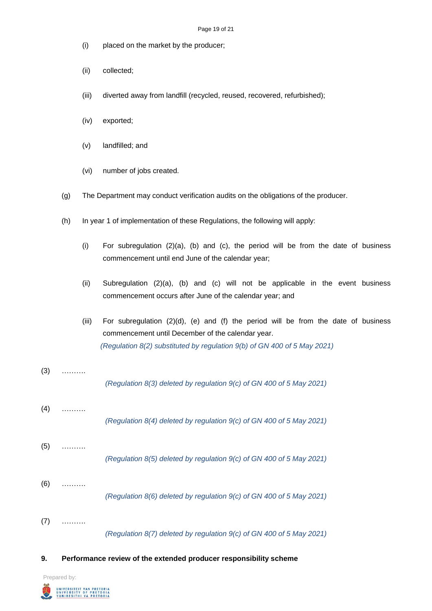- (i) placed on the market by the producer;
- (ii) collected;
- (iii) diverted away from landfill (recycled, reused, recovered, refurbished);
- (iv) exported;
- (v) landfilled; and
- (vi) number of jobs created.
- (g) The Department may conduct verification audits on the obligations of the producer.
- (h) In year 1 of implementation of these Regulations, the following will apply:
	- (i) For subregulation  $(2)(a)$ ,  $(b)$  and  $(c)$ , the period will be from the date of business commencement until end June of the calendar year;
	- (ii) Subregulation (2)(a), (b) and (c) will not be applicable in the event business commencement occurs after June of the calendar year; and
	- (iii) For subregulation (2)(d), (e) and (f) the period will be from the date of business commencement until December of the calendar year. *(Regulation 8(2) substituted by regulation 9(b) of GN 400 of 5 May 2021)*

| (3) | (Regulation 8(3) deleted by regulation 9(c) of GN 400 of 5 May 2021)   |
|-----|------------------------------------------------------------------------|
| (4) | (Regulation 8(4) deleted by regulation $9(c)$ of GN 400 of 5 May 2021) |
| (5) | (Regulation 8(5) deleted by regulation $9(c)$ of GN 400 of 5 May 2021) |
| (6) | (Regulation 8(6) deleted by regulation 9(c) of GN 400 of 5 May 2021)   |
| (7) | (Regulation 8(7) deleted by regulation 9(c) of GN 400 of 5 May 2021)   |

# **9. Performance review of the extended producer responsibility scheme**

Prepared by: UNIVERSITEIT VAN PRETORIA<br>UNIVERSITY OF PRETORIA<br>YUNIBESITHI YA PRETORIA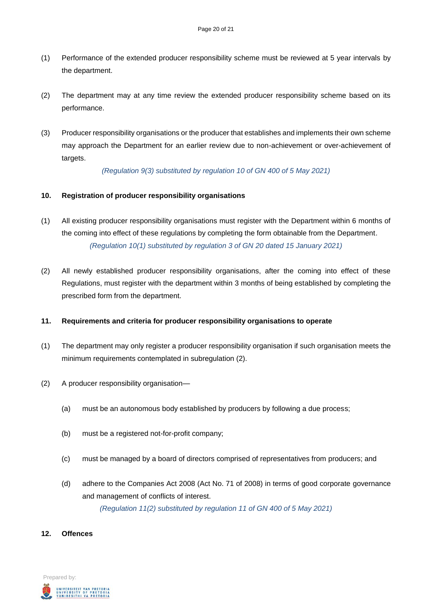- (1) Performance of the extended producer responsibility scheme must be reviewed at 5 year intervals by the department.
- (2) The department may at any time review the extended producer responsibility scheme based on its performance.
- (3) Producer responsibility organisations or the producer that establishes and implements their own scheme may approach the Department for an earlier review due to non-achievement or over-achievement of targets.

*(Regulation 9(3) substituted by regulation 10 of GN 400 of 5 May 2021)*

# **10. Registration of producer responsibility organisations**

- (1) All existing producer responsibility organisations must register with the Department within 6 months of the coming into effect of these regulations by completing the form obtainable from the Department. *(Regulation 10(1) substituted by regulation 3 of GN 20 dated 15 January 2021)*
- (2) All newly established producer responsibility organisations, after the coming into effect of these Regulations, must register with the department within 3 months of being established by completing the prescribed form from the department.

# **11. Requirements and criteria for producer responsibility organisations to operate**

- (1) The department may only register a producer responsibility organisation if such organisation meets the minimum requirements contemplated in subregulation (2).
- (2) A producer responsibility organisation—
	- (a) must be an autonomous body established by producers by following a due process;
	- (b) must be a registered not-for-profit company;
	- (c) must be managed by a board of directors comprised of representatives from producers; and
	- (d) adhere to the Companies Act 2008 (Act No. 71 of 2008) in terms of good corporate governance and management of conflicts of interest.

*(Regulation 11(2) substituted by regulation 11 of GN 400 of 5 May 2021)*

## **12. Offences**